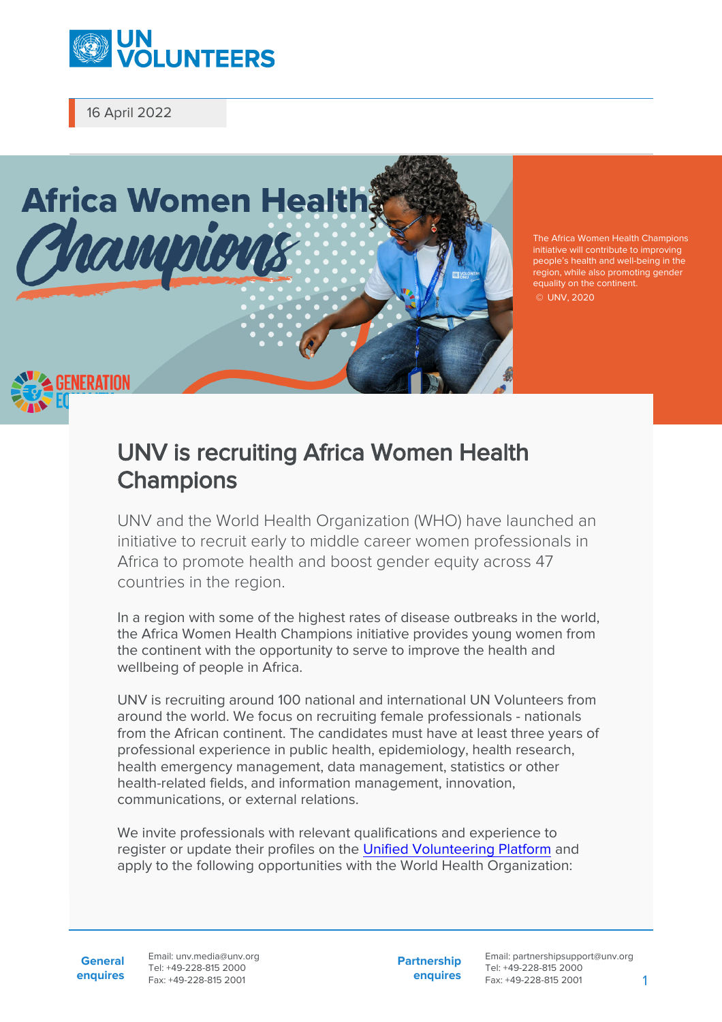

16 April 2022



The Africa Women Health Champions initiative will contribute to improving people's health and well-being in the region, while also promoting gender equality on the continent. © UNV, 2020

## UNV is recruiting Africa Women Health **Champions**

UNV and the World Health Organization (WHO) have launched an initiative to recruit early to middle career women professionals in Africa to promote health and boost gender equity across 47 countries in the region.

In a region with some of the highest rates of disease outbreaks in the world, the Africa Women Health Champions initiative provides young women from the continent with the opportunity to serve to improve the health and wellbeing of people in Africa.

UNV is recruiting around 100 national and international UN Volunteers from around the world. We focus on recruiting female professionals - nationals from the African continent. The candidates must have at least three years of professional experience in public health, epidemiology, health research, health emergency management, data management, statistics or other health-related fields, and information management, innovation, communications, or external relations.

We invite professionals with relevant qualifications and experience to register or update their profiles on the [Unified Volunteering Platform](https://app.unv.org/) and apply to the following opportunities with the World Health Organization:

**Partnership enquires**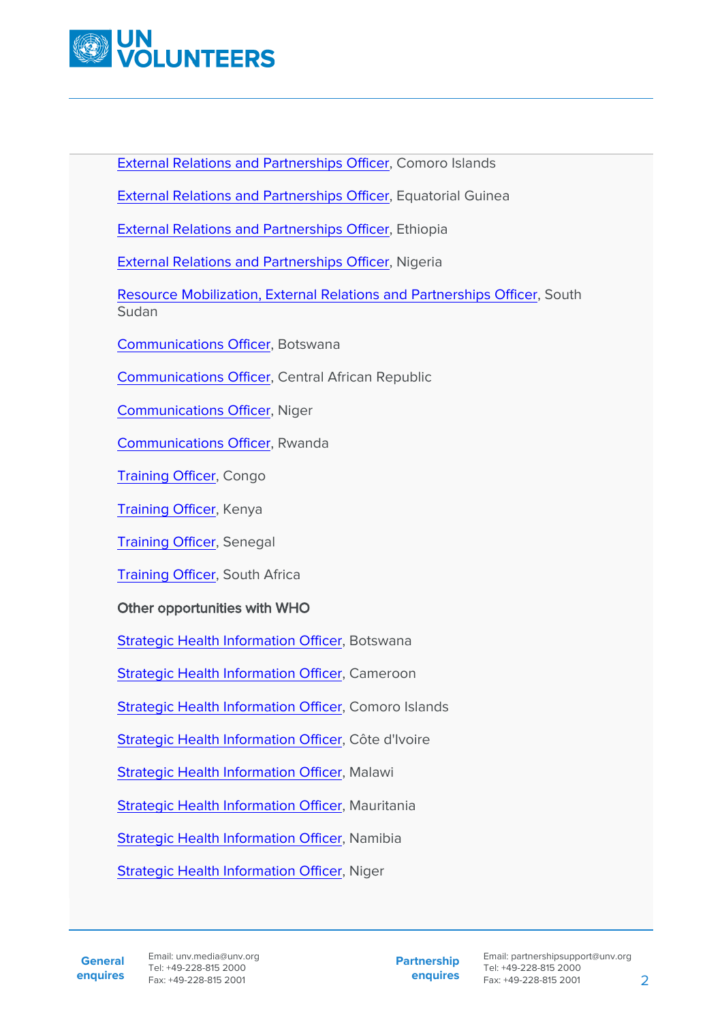

[External Relations and Partnerships Officer,](https://app.unv.org/opportunities/1688855532810496) Comoro Islands

[External Relations and Partnerships Officer,](https://app.unv.org/opportunities/1688828000085248) Equatorial Guinea

[External Relations and Partnerships Officer,](https://app.unv.org/opportunities/1688827599790336) Ethiopia

[External Relations and Partnerships Officer,](https://app.unv.org/opportunities/1688753998585088) Nigeria

[Resource Mobilization, External Relations and Partnerships Officer](https://app.unv.org/opportunities/1689520919342336), South Sudan

[Communications Officer](https://app.unv.org/opportunities/1688996149874944), Botswana

[Communications Officer](https://app.unv.org/opportunities/1689355461071104), Central African Republic

[Communications Officer](https://app.unv.org/opportunities/1688661113027840), Niger

[Communications Officer](https://app.unv.org/opportunities/1689877180383488), Rwanda

[Training Officer](https://app.unv.org/opportunities/1688760967740672), Congo

[Training Officer](https://app.unv.org/opportunities/1688843798514944), Kenya

[Training Officer](https://app.unv.org/opportunities/1688932748545280), Senegal

[Training Officer](https://app.unv.org/opportunities/1689273188961536), South Africa

## Other opportunities with WHO

[Strategic Health Information Officer,](https://app.unv.org/opportunities/1689260590677248) Botswana

[Strategic Health Information Officer,](https://app.unv.org/opportunities/1689011843867904) Cameroon

[Strategic Health Information Officer,](https://app.unv.org/opportunities/1688414521029888) Comoro Islands

[Strategic Health Information Officer,](https://app.unv.org/opportunities/1688994343117056) Côte d'Ivoire

[Strategic Health Information Officer,](https://app.unv.org/opportunities/1689001583176960) Malawi

[Strategic Health Information Officer,](https://app.unv.org/opportunities/1688992254504192) Mauritania

[Strategic Health Information Officer,](https://app.unv.org/opportunities/1689446646817024) Namibia

[Strategic Health Information Officer,](https://app.unv.org/opportunities/1689005569123584) Niger

**General enquires** **Partnership enquires**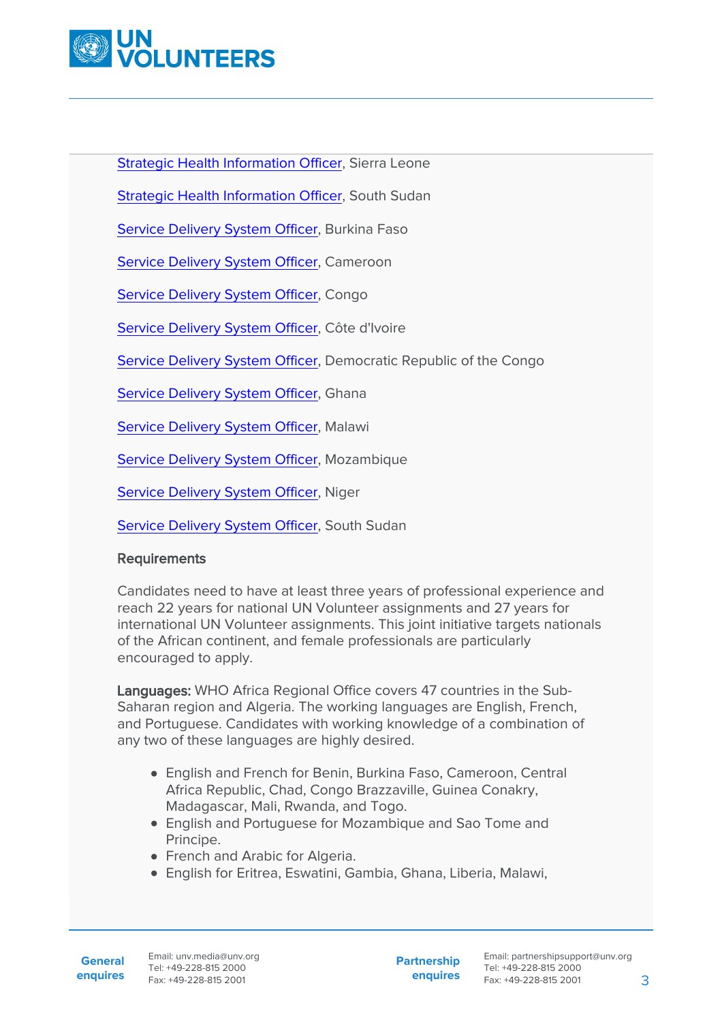

[Strategic Health Information Officer,](https://app.unv.org/opportunities/1689372989828352) Sierra Leone

[Strategic Health Information Officer,](https://app.unv.org/opportunities/1688999123580160) South Sudan

[Service Delivery System Officer](https://app.unv.org/opportunities/1688997488572672), Burkina Faso

[Service Delivery System Officer](https://app.unv.org/opportunities/1689009575042304), Cameroon

[Service Delivery System Officer](https://app.unv.org/opportunities/1689018989822208), Congo

[Service Delivery System Officer](https://app.unv.org/opportunities/1689023957935360), Côte d'Ivoire

[Service Delivery System Officer](https://app.unv.org/opportunities/1689014652953856), Democratic Republic of the Congo

[Service Delivery System Officer](https://app.unv.org/opportunities/1688945115178240), Ghana

[Service Delivery System Officer](https://app.unv.org/opportunities/1689000149452032), Malawi

[Service Delivery System Officer](https://app.unv.org/opportunities/1689012980214016), Mozambique

[Service Delivery System Officer](https://app.unv.org/opportunities/1689012225582336), Niger

[Service Delivery System Officer](https://app.unv.org/opportunities/1689001527493888), South Sudan

## **Requirements**

Candidates need to have at least three years of professional experience and reach 22 years for national UN Volunteer assignments and 27 years for international UN Volunteer assignments. This joint initiative targets nationals of the African continent, and female professionals are particularly encouraged to apply.

Languages: WHO Africa Regional Office covers 47 countries in the Sub-Saharan region and Algeria. The working languages are English, French, and Portuguese. Candidates with working knowledge of a combination of any two of these languages are highly desired.

- English and French for Benin, Burkina Faso, Cameroon, Central Africa Republic, Chad, Congo Brazzaville, Guinea Conakry, Madagascar, Mali, Rwanda, and Togo.
- English and Portuguese for Mozambique and Sao Tome and Principe.
- French and Arabic for Algeria.
- English for Eritrea, Eswatini, Gambia, Ghana, Liberia, Malawi,